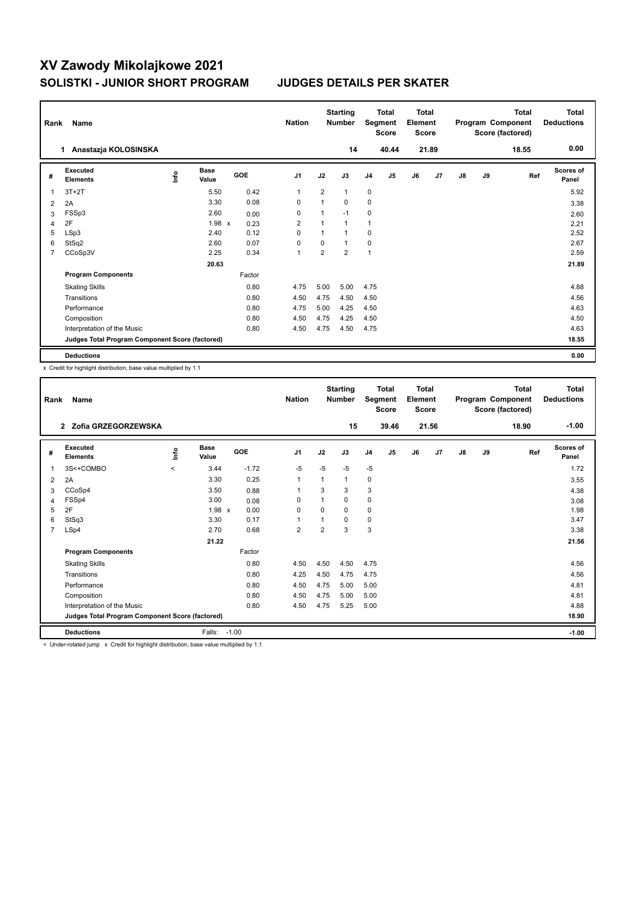| Rank           | Name                                            |      |                      |        | <b>Nation</b>  |                | <b>Starting</b><br><b>Number</b> |                | Total<br>Segment<br><b>Score</b> | <b>Total</b><br>Element<br><b>Score</b> |       |               |    | <b>Total</b><br>Program Component<br>Score (factored) | Total<br><b>Deductions</b> |
|----------------|-------------------------------------------------|------|----------------------|--------|----------------|----------------|----------------------------------|----------------|----------------------------------|-----------------------------------------|-------|---------------|----|-------------------------------------------------------|----------------------------|
|                | Anastazja KOLOSINSKA<br>1                       |      |                      |        |                |                | 14                               |                | 40.44                            |                                         | 21.89 |               |    | 18.55                                                 | 0.00                       |
| #              | Executed<br><b>Elements</b>                     | lnfo | <b>Base</b><br>Value | GOE    | J <sub>1</sub> | J2             | J3                               | J <sub>4</sub> | J5                               | J6                                      | J7    | $\mathsf{J}8$ | J9 | Ref                                                   | Scores of<br>Panel         |
| 1              | $3T+2T$                                         |      | 5.50                 | 0.42   | $\overline{1}$ | 2              | $\mathbf{1}$                     | 0              |                                  |                                         |       |               |    |                                                       | 5.92                       |
| 2              | 2A                                              |      | 3.30                 | 0.08   | 0              |                | $\Omega$                         | $\mathbf 0$    |                                  |                                         |       |               |    |                                                       | 3.38                       |
| 3              | FSSp3                                           |      | 2.60                 | 0.00   | 0              |                | $-1$                             | 0              |                                  |                                         |       |               |    |                                                       | 2.60                       |
| 4              | 2F                                              |      | $1.98 \times$        | 0.23   | 2              |                | $\mathbf{1}$                     | $\mathbf{1}$   |                                  |                                         |       |               |    |                                                       | 2.21                       |
| 5              | LSp3                                            |      | 2.40                 | 0.12   | 0              |                | $\mathbf 1$                      | 0              |                                  |                                         |       |               |    |                                                       | 2.52                       |
| 6              | StSq2                                           |      | 2.60                 | 0.07   | 0              | $\Omega$       | $\mathbf{1}$                     | $\mathbf 0$    |                                  |                                         |       |               |    |                                                       | 2.67                       |
| $\overline{7}$ | CCoSp3V                                         |      | 2.25                 | 0.34   | $\overline{1}$ | $\overline{2}$ | $\overline{2}$                   | $\mathbf{1}$   |                                  |                                         |       |               |    |                                                       | 2.59                       |
|                |                                                 |      | 20.63                |        |                |                |                                  |                |                                  |                                         |       |               |    |                                                       | 21.89                      |
|                | <b>Program Components</b>                       |      |                      | Factor |                |                |                                  |                |                                  |                                         |       |               |    |                                                       |                            |
|                | <b>Skating Skills</b>                           |      |                      | 0.80   | 4.75           | 5.00           | 5.00                             | 4.75           |                                  |                                         |       |               |    |                                                       | 4.88                       |
|                | Transitions                                     |      |                      | 0.80   | 4.50           | 4.75           | 4.50                             | 4.50           |                                  |                                         |       |               |    |                                                       | 4.56                       |
|                | Performance                                     |      |                      | 0.80   | 4.75           | 5.00           | 4.25                             | 4.50           |                                  |                                         |       |               |    |                                                       | 4.63                       |
|                | Composition                                     |      |                      | 0.80   | 4.50           | 4.75           | 4.25                             | 4.50           |                                  |                                         |       |               |    |                                                       | 4.50                       |
|                | Interpretation of the Music                     |      |                      | 0.80   | 4.50           | 4.75           | 4.50                             | 4.75           |                                  |                                         |       |               |    |                                                       | 4.63                       |
|                | Judges Total Program Component Score (factored) |      |                      |        |                |                |                                  |                |                                  |                                         |       |               |    |                                                       | 18.55                      |
|                | <b>Deductions</b>                               |      |                      |        |                |                |                                  |                |                                  |                                         |       |               |    |                                                       | 0.00                       |

x Credit for highlight distribution, base value multiplied by 1.1

| Rank           | Name                                                                                                      |             |                      |         | <b>Nation</b>  |                | <b>Starting</b><br><b>Number</b> |                | <b>Total</b><br>Segment<br>Score | <b>Total</b><br>Element<br><b>Score</b> |       |    |    | <b>Total</b><br>Program Component<br>Score (factored) | <b>Total</b><br><b>Deductions</b> |
|----------------|-----------------------------------------------------------------------------------------------------------|-------------|----------------------|---------|----------------|----------------|----------------------------------|----------------|----------------------------------|-----------------------------------------|-------|----|----|-------------------------------------------------------|-----------------------------------|
|                | Zofia GRZEGORZEWSKA<br>$\overline{2}$                                                                     |             |                      |         |                |                | 15                               |                | 39.46                            |                                         | 21.56 |    |    | 18.90                                                 | $-1.00$                           |
| #              | Executed<br><b>Elements</b>                                                                               | <u>info</u> | <b>Base</b><br>Value | GOE     | J <sub>1</sub> | J2             | J3                               | J <sub>4</sub> | J5                               | J6                                      | J7    | J8 | J9 | Ref                                                   | <b>Scores of</b><br>Panel         |
|                | 3S<+COMBO                                                                                                 | $\prec$     | 3.44                 | $-1.72$ | $-5$           | $-5$           | $-5$                             | $-5$           |                                  |                                         |       |    |    |                                                       | 1.72                              |
| 2              | 2A                                                                                                        |             | 3.30                 | 0.25    | $\mathbf{1}$   | 1              | 1                                | $\pmb{0}$      |                                  |                                         |       |    |    |                                                       | 3.55                              |
| 3              | CCoSp4                                                                                                    |             | 3.50                 | 0.88    | -1             | 3              | 3                                | 3              |                                  |                                         |       |    |    |                                                       | 4.38                              |
| 4              | FSSp4                                                                                                     |             | 3.00                 | 0.08    | $\Omega$       |                | 0                                | 0              |                                  |                                         |       |    |    |                                                       | 3.08                              |
| 5              | 2F                                                                                                        |             | 1.98 x               | 0.00    | 0              | $\Omega$       | 0                                | 0              |                                  |                                         |       |    |    |                                                       | 1.98                              |
| 6              | StSq3                                                                                                     |             | 3.30                 | 0.17    | $\mathbf{1}$   |                | 0                                | $\pmb{0}$      |                                  |                                         |       |    |    |                                                       | 3.47                              |
| $\overline{7}$ | LSp4                                                                                                      |             | 2.70                 | 0.68    | $\overline{2}$ | $\overline{2}$ | 3                                | 3              |                                  |                                         |       |    |    |                                                       | 3.38                              |
|                |                                                                                                           |             | 21.22                |         |                |                |                                  |                |                                  |                                         |       |    |    |                                                       | 21.56                             |
|                | <b>Program Components</b>                                                                                 |             |                      | Factor  |                |                |                                  |                |                                  |                                         |       |    |    |                                                       |                                   |
|                | <b>Skating Skills</b>                                                                                     |             |                      | 0.80    | 4.50           | 4.50           | 4.50                             | 4.75           |                                  |                                         |       |    |    |                                                       | 4.56                              |
|                | Transitions                                                                                               |             |                      | 0.80    | 4.25           | 4.50           | 4.75                             | 4.75           |                                  |                                         |       |    |    |                                                       | 4.56                              |
|                | Performance                                                                                               |             |                      | 0.80    | 4.50           | 4.75           | 5.00                             | 5.00           |                                  |                                         |       |    |    |                                                       | 4.81                              |
|                | Composition                                                                                               |             |                      | 0.80    | 4.50           | 4.75           | 5.00                             | 5.00           |                                  |                                         |       |    |    |                                                       | 4.81                              |
|                | Interpretation of the Music                                                                               |             |                      | 0.80    | 4.50           | 4.75           | 5.25                             | 5.00           |                                  |                                         |       |    |    |                                                       | 4.88                              |
|                | Judges Total Program Component Score (factored)                                                           |             |                      |         |                |                |                                  |                |                                  |                                         |       |    |    |                                                       | 18.90                             |
|                | <b>Deductions</b>                                                                                         |             | Falls:               | $-1.00$ |                |                |                                  |                |                                  |                                         |       |    |    |                                                       | $-1.00$                           |
|                | a chiadha agus an bhaile na 'Sagabh Aga bhailtean dhuidh atha 'Baile' na bhaile an ainm an air an air a s |             |                      |         |                |                |                                  |                |                                  |                                         |       |    |    |                                                       |                                   |

er-rotated jump x Credit for highlight distribution, base value multiplied by 1.1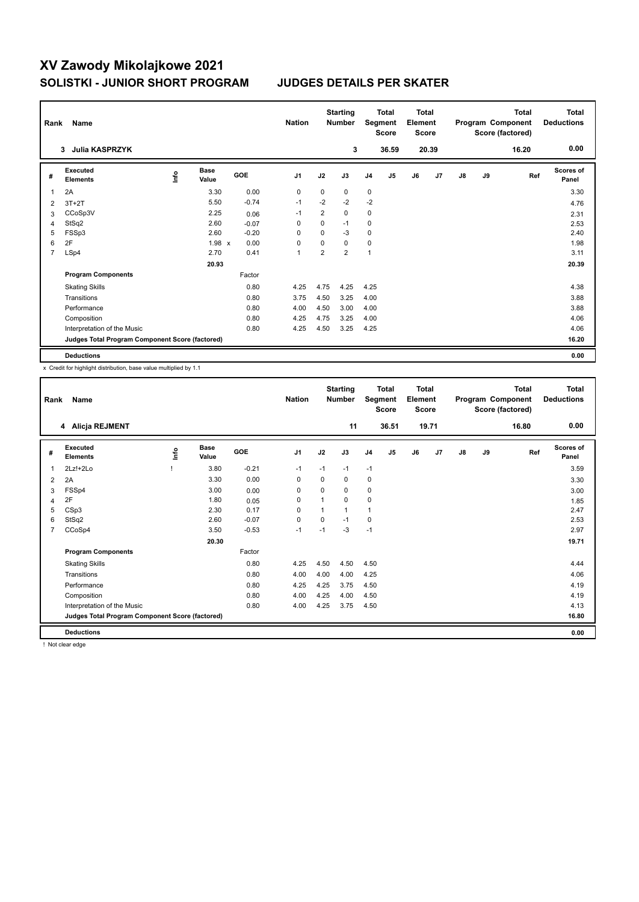| Rank           | Name                                            |    |                      |         | <b>Nation</b>  |                | <b>Starting</b><br><b>Number</b> |                | <b>Total</b><br>Segment<br><b>Score</b> | <b>Total</b><br>Element<br><b>Score</b> |       |    |    | <b>Total</b><br>Program Component<br>Score (factored) | <b>Total</b><br><b>Deductions</b> |
|----------------|-------------------------------------------------|----|----------------------|---------|----------------|----------------|----------------------------------|----------------|-----------------------------------------|-----------------------------------------|-------|----|----|-------------------------------------------------------|-----------------------------------|
|                | Julia KASPRZYK<br>3                             |    |                      |         |                |                | 3                                |                | 36.59                                   |                                         | 20.39 |    |    | 16.20                                                 | 0.00                              |
| #              | Executed<br><b>Elements</b>                     | ۴ů | <b>Base</b><br>Value | GOE     | J <sub>1</sub> | J2             | J3                               | J <sub>4</sub> | J5                                      | J6                                      | J7    | J8 | J9 | Ref                                                   | <b>Scores of</b><br>Panel         |
| 1              | 2A                                              |    | 3.30                 | 0.00    | 0              | 0              | 0                                | 0              |                                         |                                         |       |    |    |                                                       | 3.30                              |
| 2              | $3T+2T$                                         |    | 5.50                 | $-0.74$ | $-1$           | $-2$           | $-2$                             | $-2$           |                                         |                                         |       |    |    |                                                       | 4.76                              |
| 3              | CCoSp3V                                         |    | 2.25                 | 0.06    | -1             | $\overline{2}$ | 0                                | 0              |                                         |                                         |       |    |    |                                                       | 2.31                              |
| 4              | StSq2                                           |    | 2.60                 | $-0.07$ | 0              | $\mathbf 0$    | $-1$                             | 0              |                                         |                                         |       |    |    |                                                       | 2.53                              |
| 5              | FSSp3                                           |    | 2.60                 | $-0.20$ | $\Omega$       | $\Omega$       | -3                               | 0              |                                         |                                         |       |    |    |                                                       | 2.40                              |
| 6              | 2F                                              |    | $1.98 \times$        | 0.00    | 0              | 0              | 0                                | 0              |                                         |                                         |       |    |    |                                                       | 1.98                              |
| $\overline{7}$ | LSp4                                            |    | 2.70                 | 0.41    | $\mathbf{1}$   | $\overline{2}$ | $\overline{2}$                   | 1              |                                         |                                         |       |    |    |                                                       | 3.11                              |
|                |                                                 |    | 20.93                |         |                |                |                                  |                |                                         |                                         |       |    |    |                                                       | 20.39                             |
|                | <b>Program Components</b>                       |    |                      | Factor  |                |                |                                  |                |                                         |                                         |       |    |    |                                                       |                                   |
|                | <b>Skating Skills</b>                           |    |                      | 0.80    | 4.25           | 4.75           | 4.25                             | 4.25           |                                         |                                         |       |    |    |                                                       | 4.38                              |
|                | Transitions                                     |    |                      | 0.80    | 3.75           | 4.50           | 3.25                             | 4.00           |                                         |                                         |       |    |    |                                                       | 3.88                              |
|                | Performance                                     |    |                      | 0.80    | 4.00           | 4.50           | 3.00                             | 4.00           |                                         |                                         |       |    |    |                                                       | 3.88                              |
|                | Composition                                     |    |                      | 0.80    | 4.25           | 4.75           | 3.25                             | 4.00           |                                         |                                         |       |    |    |                                                       | 4.06                              |
|                | Interpretation of the Music                     |    |                      | 0.80    | 4.25           | 4.50           | 3.25                             | 4.25           |                                         |                                         |       |    |    |                                                       | 4.06                              |
|                | Judges Total Program Component Score (factored) |    |                      |         |                |                |                                  |                |                                         |                                         |       |    |    |                                                       | 16.20                             |
|                | <b>Deductions</b>                               |    |                      |         |                |                |                                  |                |                                         |                                         |       |    |    |                                                       | 0.00                              |

x Credit for highlight distribution, base value multiplied by 1.1

| Rank           | Name<br>Alicja REJMENT<br>4                     |             |                      |         | <b>Nation</b>  |          | <b>Starting</b><br><b>Number</b> |                | <b>Total</b><br>Segment<br><b>Score</b> | Total<br>Element<br><b>Score</b> |       |    |    | Total<br>Program Component<br>Score (factored) | <b>Total</b><br><b>Deductions</b> |
|----------------|-------------------------------------------------|-------------|----------------------|---------|----------------|----------|----------------------------------|----------------|-----------------------------------------|----------------------------------|-------|----|----|------------------------------------------------|-----------------------------------|
|                |                                                 |             |                      |         |                |          | 11                               |                | 36.51                                   |                                  | 19.71 |    |    | 16.80                                          | 0.00                              |
| #              | Executed<br><b>Elements</b>                     | <u>info</u> | <b>Base</b><br>Value | GOE     | J <sub>1</sub> | J2       | J3                               | J <sub>4</sub> | J <sub>5</sub>                          | J6                               | J7    | J8 | J9 | Ref                                            | Scores of<br>Panel                |
| 1              | $2Lz!+2Lo$                                      |             | 3.80                 | $-0.21$ | $-1$           | $-1$     | $-1$                             | $-1$           |                                         |                                  |       |    |    |                                                | 3.59                              |
| $\overline{2}$ | 2A                                              |             | 3.30                 | 0.00    | 0              | $\Omega$ | 0                                | 0              |                                         |                                  |       |    |    |                                                | 3.30                              |
| 3              | FSSp4                                           |             | 3.00                 | 0.00    | 0              | 0        | 0                                | 0              |                                         |                                  |       |    |    |                                                | 3.00                              |
| 4              | 2F                                              |             | 1.80                 | 0.05    | 0              | 1        | 0                                | 0              |                                         |                                  |       |    |    |                                                | 1.85                              |
| 5              | CSp3                                            |             | 2.30                 | 0.17    | $\Omega$       | 1        | 1                                | $\overline{1}$ |                                         |                                  |       |    |    |                                                | 2.47                              |
| 6              | StSq2                                           |             | 2.60                 | $-0.07$ | 0              | $\Omega$ | $-1$                             | 0              |                                         |                                  |       |    |    |                                                | 2.53                              |
| $\overline{7}$ | CCoSp4                                          |             | 3.50                 | $-0.53$ | $-1$           | $-1$     | $-3$                             | $-1$           |                                         |                                  |       |    |    |                                                | 2.97                              |
|                |                                                 |             | 20.30                |         |                |          |                                  |                |                                         |                                  |       |    |    |                                                | 19.71                             |
|                | <b>Program Components</b>                       |             |                      | Factor  |                |          |                                  |                |                                         |                                  |       |    |    |                                                |                                   |
|                | <b>Skating Skills</b>                           |             |                      | 0.80    | 4.25           | 4.50     | 4.50                             | 4.50           |                                         |                                  |       |    |    |                                                | 4.44                              |
|                | Transitions                                     |             |                      | 0.80    | 4.00           | 4.00     | 4.00                             | 4.25           |                                         |                                  |       |    |    |                                                | 4.06                              |
|                | Performance                                     |             |                      | 0.80    | 4.25           | 4.25     | 3.75                             | 4.50           |                                         |                                  |       |    |    |                                                | 4.19                              |
|                | Composition                                     |             |                      | 0.80    | 4.00           | 4.25     | 4.00                             | 4.50           |                                         |                                  |       |    |    |                                                | 4.19                              |
|                | Interpretation of the Music                     |             |                      | 0.80    | 4.00           | 4.25     | 3.75                             | 4.50           |                                         |                                  |       |    |    |                                                | 4.13                              |
|                | Judges Total Program Component Score (factored) |             |                      |         |                |          |                                  |                |                                         |                                  |       |    |    |                                                | 16.80                             |
|                | <b>Deductions</b>                               |             |                      |         |                |          |                                  |                |                                         |                                  |       |    |    |                                                | 0.00                              |

! Not clear edge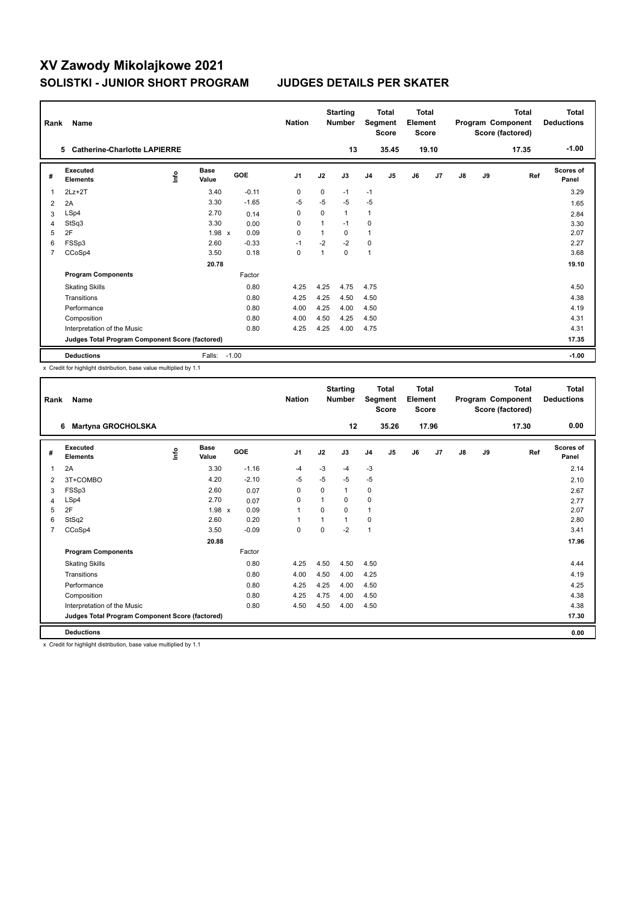| Rank           | Name                                            |    |                      |         | <b>Nation</b>  |             | <b>Starting</b><br><b>Number</b> |                | <b>Total</b><br>Segment<br><b>Score</b> | <b>Total</b><br>Element<br><b>Score</b> |                |    |    | Total<br>Program Component<br>Score (factored) | Total<br><b>Deductions</b> |
|----------------|-------------------------------------------------|----|----------------------|---------|----------------|-------------|----------------------------------|----------------|-----------------------------------------|-----------------------------------------|----------------|----|----|------------------------------------------------|----------------------------|
|                | 5 Catherine-Charlotte LAPIERRE                  |    |                      |         |                |             | 13                               |                | 35.45                                   |                                         | 19.10          |    |    | 17.35                                          | $-1.00$                    |
| #              | Executed<br><b>Elements</b>                     | ۴ů | <b>Base</b><br>Value | GOE     | J <sub>1</sub> | J2          | J3                               | J <sub>4</sub> | J <sub>5</sub>                          | J6                                      | J <sub>7</sub> | J8 | J9 | Ref                                            | Scores of<br>Panel         |
| 1              | $2Lz+2T$                                        |    | 3.40                 | $-0.11$ | 0              | 0           | $-1$                             | $-1$           |                                         |                                         |                |    |    |                                                | 3.29                       |
| 2              | 2A                                              |    | 3.30                 | $-1.65$ | -5             | $-5$        | $-5$                             | $-5$           |                                         |                                         |                |    |    |                                                | 1.65                       |
| 3              | LSp4                                            |    | 2.70                 | 0.14    | 0              | $\mathbf 0$ | $\mathbf{1}$                     | 1              |                                         |                                         |                |    |    |                                                | 2.84                       |
| 4              | StSq3                                           |    | 3.30                 | 0.00    | 0              | 1           | $-1$                             | 0              |                                         |                                         |                |    |    |                                                | 3.30                       |
| 5              | 2F                                              |    | $1.98 \times$        | 0.09    | $\mathbf 0$    |             | $\Omega$                         | $\mathbf{1}$   |                                         |                                         |                |    |    |                                                | 2.07                       |
| 6              | FSSp3                                           |    | 2.60                 | $-0.33$ | $-1$           | $-2$        | $-2$                             | $\mathbf 0$    |                                         |                                         |                |    |    |                                                | 2.27                       |
| $\overline{7}$ | CCoSp4                                          |    | 3.50                 | 0.18    | 0              | 1           | 0                                | $\mathbf{1}$   |                                         |                                         |                |    |    |                                                | 3.68                       |
|                |                                                 |    | 20.78                |         |                |             |                                  |                |                                         |                                         |                |    |    |                                                | 19.10                      |
|                | <b>Program Components</b>                       |    |                      | Factor  |                |             |                                  |                |                                         |                                         |                |    |    |                                                |                            |
|                | <b>Skating Skills</b>                           |    |                      | 0.80    | 4.25           | 4.25        | 4.75                             | 4.75           |                                         |                                         |                |    |    |                                                | 4.50                       |
|                | Transitions                                     |    |                      | 0.80    | 4.25           | 4.25        | 4.50                             | 4.50           |                                         |                                         |                |    |    |                                                | 4.38                       |
|                | Performance                                     |    |                      | 0.80    | 4.00           | 4.25        | 4.00                             | 4.50           |                                         |                                         |                |    |    |                                                | 4.19                       |
|                | Composition                                     |    |                      | 0.80    | 4.00           | 4.50        | 4.25                             | 4.50           |                                         |                                         |                |    |    |                                                | 4.31                       |
|                | Interpretation of the Music                     |    |                      | 0.80    | 4.25           | 4.25        | 4.00                             | 4.75           |                                         |                                         |                |    |    |                                                | 4.31                       |
|                | Judges Total Program Component Score (factored) |    |                      |         |                |             |                                  |                |                                         |                                         |                |    |    |                                                | 17.35                      |
|                | <b>Deductions</b>                               |    | Falls: -1.00         |         |                |             |                                  |                |                                         |                                         |                |    |    |                                                | $-1.00$                    |

x Credit for highlight distribution, base value multiplied by 1.1

| Rank | Name                                            |             |                      |         | <b>Nation</b>  |          | <b>Starting</b><br><b>Number</b> |                | <b>Total</b><br>Segment<br><b>Score</b> | <b>Total</b><br>Element<br><b>Score</b> |       |    |    | <b>Total</b><br>Program Component<br>Score (factored) | <b>Total</b><br><b>Deductions</b> |
|------|-------------------------------------------------|-------------|----------------------|---------|----------------|----------|----------------------------------|----------------|-----------------------------------------|-----------------------------------------|-------|----|----|-------------------------------------------------------|-----------------------------------|
|      | <b>Martyna GROCHOLSKA</b><br>6                  |             |                      |         |                |          | 12                               |                | 35.26                                   |                                         | 17.96 |    |    | 17.30                                                 | 0.00                              |
| #    | Executed<br><b>Elements</b>                     | <u>info</u> | <b>Base</b><br>Value | GOE     | J <sub>1</sub> | J2       | J3                               | J <sub>4</sub> | J <sub>5</sub>                          | J6                                      | J7    | J8 | J9 | Ref                                                   | <b>Scores of</b><br>Panel         |
| 1    | 2A                                              |             | 3.30                 | $-1.16$ | -4             | $-3$     | $-4$                             | $-3$           |                                         |                                         |       |    |    |                                                       | 2.14                              |
| 2    | 3T+COMBO                                        |             | 4.20                 | $-2.10$ | $-5$           | $-5$     | $-5$                             | $-5$           |                                         |                                         |       |    |    |                                                       | 2.10                              |
| 3    | FSSp3                                           |             | 2.60                 | 0.07    | 0              | $\Omega$ | $\mathbf{1}$                     | 0              |                                         |                                         |       |    |    |                                                       | 2.67                              |
| 4    | LSp4                                            |             | 2.70                 | 0.07    | 0              |          | 0                                | 0              |                                         |                                         |       |    |    |                                                       | 2.77                              |
| 5    | 2F                                              |             | $1.98 \times$        | 0.09    | $\overline{1}$ | $\Omega$ | $\Omega$                         | $\mathbf{1}$   |                                         |                                         |       |    |    |                                                       | 2.07                              |
| 6    | StSq2                                           |             | 2.60                 | 0.20    | $\mathbf{1}$   |          | 1                                | $\mathbf 0$    |                                         |                                         |       |    |    |                                                       | 2.80                              |
| 7    | CCoSp4                                          |             | 3.50                 | $-0.09$ | $\mathbf 0$    | $\Omega$ | $-2$                             | $\overline{1}$ |                                         |                                         |       |    |    |                                                       | 3.41                              |
|      |                                                 |             | 20.88                |         |                |          |                                  |                |                                         |                                         |       |    |    |                                                       | 17.96                             |
|      | <b>Program Components</b>                       |             |                      | Factor  |                |          |                                  |                |                                         |                                         |       |    |    |                                                       |                                   |
|      | <b>Skating Skills</b>                           |             |                      | 0.80    | 4.25           | 4.50     | 4.50                             | 4.50           |                                         |                                         |       |    |    |                                                       | 4.44                              |
|      | Transitions                                     |             |                      | 0.80    | 4.00           | 4.50     | 4.00                             | 4.25           |                                         |                                         |       |    |    |                                                       | 4.19                              |
|      | Performance                                     |             |                      | 0.80    | 4.25           | 4.25     | 4.00                             | 4.50           |                                         |                                         |       |    |    |                                                       | 4.25                              |
|      | Composition                                     |             |                      | 0.80    | 4.25           | 4.75     | 4.00                             | 4.50           |                                         |                                         |       |    |    |                                                       | 4.38                              |
|      | Interpretation of the Music                     |             |                      | 0.80    | 4.50           | 4.50     | 4.00                             | 4.50           |                                         |                                         |       |    |    |                                                       | 4.38                              |
|      | Judges Total Program Component Score (factored) |             |                      |         |                |          |                                  |                |                                         |                                         |       |    |    |                                                       | 17.30                             |
|      | <b>Deductions</b>                               |             |                      |         |                |          |                                  |                |                                         |                                         |       |    |    |                                                       | 0.00                              |

x Credit for highlight distribution, base value multiplied by 1.1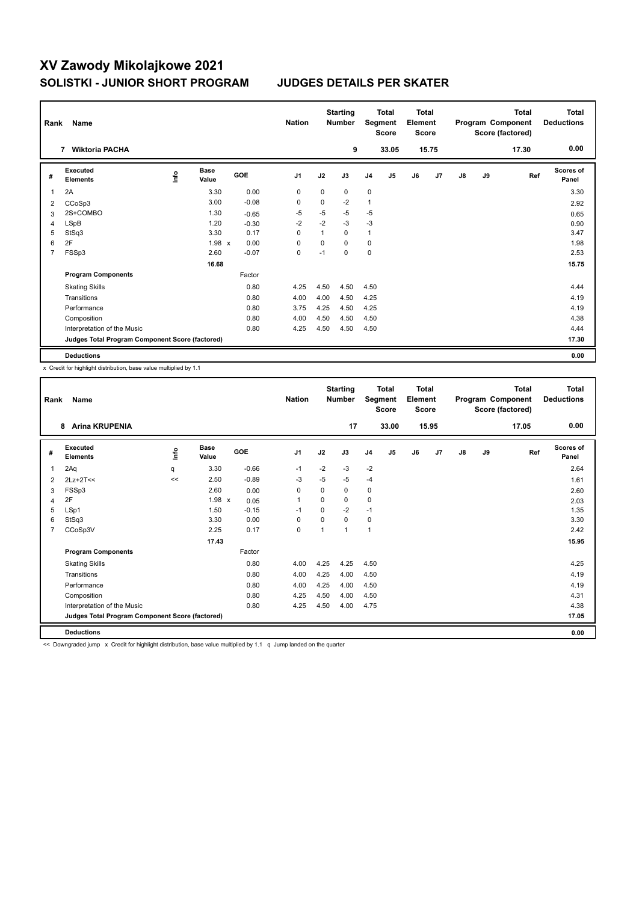| Rank           | Name                                            |      |                      |         | <b>Nation</b>  |          | <b>Starting</b><br><b>Number</b> | Segment        | <b>Total</b><br><b>Score</b> | <b>Total</b><br>Element<br><b>Score</b> |       |               |    | <b>Total</b><br>Program Component<br>Score (factored) | Total<br><b>Deductions</b> |
|----------------|-------------------------------------------------|------|----------------------|---------|----------------|----------|----------------------------------|----------------|------------------------------|-----------------------------------------|-------|---------------|----|-------------------------------------------------------|----------------------------|
|                | <b>Wiktoria PACHA</b><br>$\overline{7}$         |      |                      |         |                |          | 9                                |                | 33.05                        |                                         | 15.75 |               |    | 17.30                                                 | 0.00                       |
| #              | Executed<br><b>Elements</b>                     | lnfo | <b>Base</b><br>Value | GOE     | J <sub>1</sub> | J2       | J3                               | J <sub>4</sub> | J5                           | J6                                      | J7    | $\mathsf{J}8$ | J9 | Ref                                                   | Scores of<br>Panel         |
| 1              | 2A                                              |      | 3.30                 | 0.00    | 0              | 0        | 0                                | 0              |                              |                                         |       |               |    |                                                       | 3.30                       |
| 2              | CCoSp3                                          |      | 3.00                 | $-0.08$ | 0              | $\Omega$ | $-2$                             | $\mathbf{1}$   |                              |                                         |       |               |    |                                                       | 2.92                       |
| 3              | 2S+COMBO                                        |      | 1.30                 | $-0.65$ | -5             | $-5$     | $-5$                             | $-5$           |                              |                                         |       |               |    |                                                       | 0.65                       |
| 4              | <b>LSpB</b>                                     |      | 1.20                 | $-0.30$ | $-2$           | $-2$     | $-3$                             | $-3$           |                              |                                         |       |               |    |                                                       | 0.90                       |
| 5              | StSq3                                           |      | 3.30                 | 0.17    | 0              |          | $\Omega$                         | $\mathbf{1}$   |                              |                                         |       |               |    |                                                       | 3.47                       |
| 6              | 2F                                              |      | $1.98 \times$        | 0.00    | 0              | $\Omega$ | $\Omega$                         | $\mathbf 0$    |                              |                                         |       |               |    |                                                       | 1.98                       |
| $\overline{7}$ | FSSp3                                           |      | 2.60                 | $-0.07$ | $\pmb{0}$      | $-1$     | 0                                | $\pmb{0}$      |                              |                                         |       |               |    |                                                       | 2.53                       |
|                |                                                 |      | 16.68                |         |                |          |                                  |                |                              |                                         |       |               |    |                                                       | 15.75                      |
|                | <b>Program Components</b>                       |      |                      | Factor  |                |          |                                  |                |                              |                                         |       |               |    |                                                       |                            |
|                | <b>Skating Skills</b>                           |      |                      | 0.80    | 4.25           | 4.50     | 4.50                             | 4.50           |                              |                                         |       |               |    |                                                       | 4.44                       |
|                | Transitions                                     |      |                      | 0.80    | 4.00           | 4.00     | 4.50                             | 4.25           |                              |                                         |       |               |    |                                                       | 4.19                       |
|                | Performance                                     |      |                      | 0.80    | 3.75           | 4.25     | 4.50                             | 4.25           |                              |                                         |       |               |    |                                                       | 4.19                       |
|                | Composition                                     |      |                      | 0.80    | 4.00           | 4.50     | 4.50                             | 4.50           |                              |                                         |       |               |    |                                                       | 4.38                       |
|                | Interpretation of the Music                     |      |                      | 0.80    | 4.25           | 4.50     | 4.50                             | 4.50           |                              |                                         |       |               |    |                                                       | 4.44                       |
|                | Judges Total Program Component Score (factored) |      |                      |         |                |          |                                  |                |                              |                                         |       |               |    |                                                       | 17.30                      |
|                | <b>Deductions</b>                               |      |                      |         |                |          |                                  |                |                              |                                         |       |               |    |                                                       | 0.00                       |

x Credit for highlight distribution, base value multiplied by 1.1

| Rank           | Name                                            |             |                      |                                                                                                                                                                                                                               | <b>Nation</b>  |          | <b>Starting</b><br><b>Number</b> |                | <b>Total</b><br>Segment<br><b>Score</b> | Total<br>Element<br><b>Score</b> |       |    |    | <b>Total</b><br>Program Component<br>Score (factored) | <b>Total</b><br><b>Deductions</b> |
|----------------|-------------------------------------------------|-------------|----------------------|-------------------------------------------------------------------------------------------------------------------------------------------------------------------------------------------------------------------------------|----------------|----------|----------------------------------|----------------|-----------------------------------------|----------------------------------|-------|----|----|-------------------------------------------------------|-----------------------------------|
|                | <b>Arina KRUPENIA</b><br>8                      |             |                      |                                                                                                                                                                                                                               |                |          | 17                               |                | 33.00                                   |                                  | 15.95 |    |    | 17.05                                                 | 0.00                              |
| #              | Executed<br><b>Elements</b>                     | <u>info</u> | <b>Base</b><br>Value | GOE                                                                                                                                                                                                                           | J <sub>1</sub> | J2       | J3                               | J <sub>4</sub> | J <sub>5</sub>                          | J6                               | J7    | J8 | J9 | Ref                                                   | Scores of<br>Panel                |
| 1              | 2Aq                                             | q           | 3.30                 | $-0.66$                                                                                                                                                                                                                       | $-1$           | $-2$     | $-3$                             | $-2$           |                                         |                                  |       |    |    |                                                       | 2.64                              |
| 2              | $2Lz+2T<<$                                      | <<          | 2.50                 | $-0.89$                                                                                                                                                                                                                       | -3             | $-5$     | $-5$                             | $-4$           |                                         |                                  |       |    |    |                                                       | 1.61                              |
| 3              | FSSp3                                           |             | 2.60                 | 0.00                                                                                                                                                                                                                          | 0              | 0        | 0                                | $\mathbf 0$    |                                         |                                  |       |    |    |                                                       | 2.60                              |
| 4              | 2F                                              |             | 1.98 x               | 0.05                                                                                                                                                                                                                          | $\mathbf{1}$   | $\Omega$ | 0                                | $\pmb{0}$      |                                         |                                  |       |    |    |                                                       | 2.03                              |
| 5              | LSp1                                            |             | 1.50                 | $-0.15$                                                                                                                                                                                                                       | $-1$           | $\Omega$ | $-2$                             | $-1$           |                                         |                                  |       |    |    |                                                       | 1.35                              |
| 6              | StSq3                                           |             | 3.30                 | 0.00                                                                                                                                                                                                                          | $\mathbf 0$    | $\Omega$ | $\mathbf 0$                      | $\pmb{0}$      |                                         |                                  |       |    |    |                                                       | 3.30                              |
| $\overline{7}$ | CCoSp3V                                         |             | 2.25                 | 0.17                                                                                                                                                                                                                          | $\mathbf 0$    | 1        | 1                                | $\mathbf{1}$   |                                         |                                  |       |    |    |                                                       | 2.42                              |
|                |                                                 |             | 17.43                |                                                                                                                                                                                                                               |                |          |                                  |                |                                         |                                  |       |    |    |                                                       | 15.95                             |
|                | <b>Program Components</b>                       |             |                      | Factor                                                                                                                                                                                                                        |                |          |                                  |                |                                         |                                  |       |    |    |                                                       |                                   |
|                | <b>Skating Skills</b>                           |             |                      | 0.80                                                                                                                                                                                                                          | 4.00           | 4.25     | 4.25                             | 4.50           |                                         |                                  |       |    |    |                                                       | 4.25                              |
|                | Transitions                                     |             |                      | 0.80                                                                                                                                                                                                                          | 4.00           | 4.25     | 4.00                             | 4.50           |                                         |                                  |       |    |    |                                                       | 4.19                              |
|                | Performance                                     |             |                      | 0.80                                                                                                                                                                                                                          | 4.00           | 4.25     | 4.00                             | 4.50           |                                         |                                  |       |    |    |                                                       | 4.19                              |
|                | Composition                                     |             |                      | 0.80                                                                                                                                                                                                                          | 4.25           | 4.50     | 4.00                             | 4.50           |                                         |                                  |       |    |    |                                                       | 4.31                              |
|                | Interpretation of the Music                     |             |                      | 0.80                                                                                                                                                                                                                          | 4.25           | 4.50     | 4.00                             | 4.75           |                                         |                                  |       |    |    |                                                       | 4.38                              |
|                | Judges Total Program Component Score (factored) |             |                      |                                                                                                                                                                                                                               |                |          |                                  |                |                                         |                                  |       |    |    |                                                       | 17.05                             |
|                | <b>Deductions</b>                               |             |                      |                                                                                                                                                                                                                               |                |          |                                  |                |                                         |                                  |       |    |    |                                                       | 0.00                              |
|                |                                                 |             |                      | recommendations are a serious contract of the contract of the contract of the contract of the contract of the contract of the contract of the contract of the contract of the contract of the contract of the contract of the |                |          |                                  |                |                                         |                                  |       |    |    |                                                       |                                   |

<< Downgraded jump x Credit for highlight distribution, base value multiplied by 1.1 q Jump landed on the quarter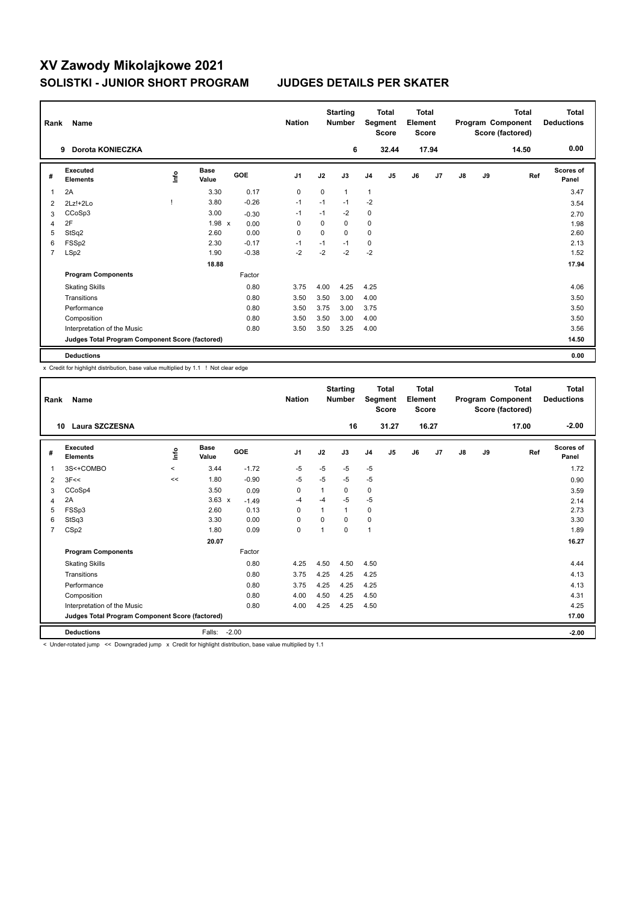| Rank           | Name                                            |      |                      |         | <b>Nation</b>  |          | <b>Starting</b><br><b>Number</b> |                | <b>Total</b><br>Segment<br><b>Score</b> | <b>Total</b><br>Element<br><b>Score</b> |       |    |    | <b>Total</b><br>Program Component<br>Score (factored) | <b>Total</b><br><b>Deductions</b> |
|----------------|-------------------------------------------------|------|----------------------|---------|----------------|----------|----------------------------------|----------------|-----------------------------------------|-----------------------------------------|-------|----|----|-------------------------------------------------------|-----------------------------------|
|                | Dorota KONIECZKA<br>9                           |      |                      |         |                |          | 6                                |                | 32.44                                   |                                         | 17.94 |    |    | 14.50                                                 | 0.00                              |
| #              | Executed<br><b>Elements</b>                     | lnfo | <b>Base</b><br>Value | GOE     | J <sub>1</sub> | J2       | J3                               | J <sub>4</sub> | J <sub>5</sub>                          | J6                                      | J7    | J8 | J9 | Ref                                                   | <b>Scores of</b><br>Panel         |
| 1              | 2A                                              |      | 3.30                 | 0.17    | 0              | 0        | $\mathbf{1}$                     | 1              |                                         |                                         |       |    |    |                                                       | 3.47                              |
| 2              | 2Lz!+2Lo                                        |      | 3.80                 | $-0.26$ | $-1$           | $-1$     | $-1$                             | $-2$           |                                         |                                         |       |    |    |                                                       | 3.54                              |
| 3              | CCoSp3                                          |      | 3.00                 | $-0.30$ | $-1$           | $-1$     | $-2$                             | 0              |                                         |                                         |       |    |    |                                                       | 2.70                              |
| $\overline{4}$ | 2F                                              |      | 1.98 x               | 0.00    | 0              | 0        | 0                                | $\mathbf 0$    |                                         |                                         |       |    |    |                                                       | 1.98                              |
| 5              | StSq2                                           |      | 2.60                 | 0.00    | $\Omega$       | $\Omega$ | $\Omega$                         | 0              |                                         |                                         |       |    |    |                                                       | 2.60                              |
| 6              | FSSp2                                           |      | 2.30                 | $-0.17$ | -1             | $-1$     | $-1$                             | 0              |                                         |                                         |       |    |    |                                                       | 2.13                              |
| $\overline{7}$ | LSp2                                            |      | 1.90                 | $-0.38$ | $-2$           | $-2$     | $-2$                             | $-2$           |                                         |                                         |       |    |    |                                                       | 1.52                              |
|                |                                                 |      | 18.88                |         |                |          |                                  |                |                                         |                                         |       |    |    |                                                       | 17.94                             |
|                | <b>Program Components</b>                       |      |                      | Factor  |                |          |                                  |                |                                         |                                         |       |    |    |                                                       |                                   |
|                | <b>Skating Skills</b>                           |      |                      | 0.80    | 3.75           | 4.00     | 4.25                             | 4.25           |                                         |                                         |       |    |    |                                                       | 4.06                              |
|                | Transitions                                     |      |                      | 0.80    | 3.50           | 3.50     | 3.00                             | 4.00           |                                         |                                         |       |    |    |                                                       | 3.50                              |
|                | Performance                                     |      |                      | 0.80    | 3.50           | 3.75     | 3.00                             | 3.75           |                                         |                                         |       |    |    |                                                       | 3.50                              |
|                | Composition                                     |      |                      | 0.80    | 3.50           | 3.50     | 3.00                             | 4.00           |                                         |                                         |       |    |    |                                                       | 3.50                              |
|                | Interpretation of the Music                     |      |                      | 0.80    | 3.50           | 3.50     | 3.25                             | 4.00           |                                         |                                         |       |    |    |                                                       | 3.56                              |
|                | Judges Total Program Component Score (factored) |      |                      |         |                |          |                                  |                |                                         |                                         |       |    |    |                                                       | 14.50                             |
|                | <b>Deductions</b>                               |      |                      |         |                |          |                                  |                |                                         |                                         |       |    |    |                                                       | 0.00                              |

x Credit for highlight distribution, base value multiplied by 1.1 ! Not clear edge

| Rank           | Name<br><b>Laura SZCZESNA</b><br>10                                                                                 |         |                      |            | <b>Nation</b>  |          | <b>Starting</b><br><b>Number</b> |                | <b>Total</b><br>Segment<br>Score | <b>Total</b><br>Element<br><b>Score</b> |       |    |    | <b>Total</b><br>Program Component<br>Score (factored) | <b>Total</b><br><b>Deductions</b> |
|----------------|---------------------------------------------------------------------------------------------------------------------|---------|----------------------|------------|----------------|----------|----------------------------------|----------------|----------------------------------|-----------------------------------------|-------|----|----|-------------------------------------------------------|-----------------------------------|
|                |                                                                                                                     |         |                      |            |                |          | 16                               |                | 31.27                            |                                         | 16.27 |    |    | 17.00                                                 | $-2.00$                           |
| #              | Executed<br><b>Elements</b>                                                                                         | Life    | <b>Base</b><br>Value | <b>GOE</b> | J <sub>1</sub> | J2       | J3                               | J <sub>4</sub> | J <sub>5</sub>                   | J6                                      | J7    | J8 | J9 | Ref                                                   | <b>Scores of</b><br>Panel         |
|                | 3S<+COMBO                                                                                                           | $\prec$ | 3.44                 | $-1.72$    | $-5$           | $-5$     | $-5$                             | $-5$           |                                  |                                         |       |    |    |                                                       | 1.72                              |
| 2              | 3F<<                                                                                                                | <<      | 1.80                 | $-0.90$    | $-5$           | $-5$     | $-5$                             | $-5$           |                                  |                                         |       |    |    |                                                       | 0.90                              |
| 3              | CCoSp4                                                                                                              |         | 3.50                 | 0.09       | 0              |          | 0                                | 0              |                                  |                                         |       |    |    |                                                       | 3.59                              |
| 4              | 2A                                                                                                                  |         | $3.63 \times$        | $-1.49$    | $-4$           | $-4$     | $-5$                             | $-5$           |                                  |                                         |       |    |    |                                                       | 2.14                              |
| 5              | FSSp3                                                                                                               |         | 2.60                 | 0.13       | 0              |          | $\mathbf{1}$                     | 0              |                                  |                                         |       |    |    |                                                       | 2.73                              |
| 6              | StSq3                                                                                                               |         | 3.30                 | 0.00       | $\mathbf 0$    | $\Omega$ | 0                                | $\pmb{0}$      |                                  |                                         |       |    |    |                                                       | 3.30                              |
| $\overline{7}$ | CSp2                                                                                                                |         | 1.80                 | 0.09       | $\mathbf 0$    |          | $\Omega$                         | $\overline{1}$ |                                  |                                         |       |    |    |                                                       | 1.89                              |
|                |                                                                                                                     |         | 20.07                |            |                |          |                                  |                |                                  |                                         |       |    |    |                                                       | 16.27                             |
|                | <b>Program Components</b>                                                                                           |         |                      | Factor     |                |          |                                  |                |                                  |                                         |       |    |    |                                                       |                                   |
|                | <b>Skating Skills</b>                                                                                               |         |                      | 0.80       | 4.25           | 4.50     | 4.50                             | 4.50           |                                  |                                         |       |    |    |                                                       | 4.44                              |
|                | Transitions                                                                                                         |         |                      | 0.80       | 3.75           | 4.25     | 4.25                             | 4.25           |                                  |                                         |       |    |    |                                                       | 4.13                              |
|                | Performance                                                                                                         |         |                      | 0.80       | 3.75           | 4.25     | 4.25                             | 4.25           |                                  |                                         |       |    |    |                                                       | 4.13                              |
|                | Composition                                                                                                         |         |                      | 0.80       | 4.00           | 4.50     | 4.25                             | 4.50           |                                  |                                         |       |    |    |                                                       | 4.31                              |
|                | Interpretation of the Music                                                                                         |         |                      | 0.80       | 4.00           | 4.25     | 4.25                             | 4.50           |                                  |                                         |       |    |    |                                                       | 4.25                              |
|                | Judges Total Program Component Score (factored)                                                                     |         |                      |            |                |          |                                  |                |                                  |                                         |       |    |    |                                                       | 17.00                             |
|                | <b>Deductions</b>                                                                                                   |         | Falls:               | $-2.00$    |                |          |                                  |                |                                  |                                         |       |    |    |                                                       | $-2.00$                           |
|                | a Theorem and there are no produced at these are no produced and the distribution to be a control condition to data |         |                      |            |                |          |                                  |                |                                  |                                         |       |    |    |                                                       |                                   |

r-rotated jump << Downgraded jump x Credit for highlight distribution, base value multiplied by 1.1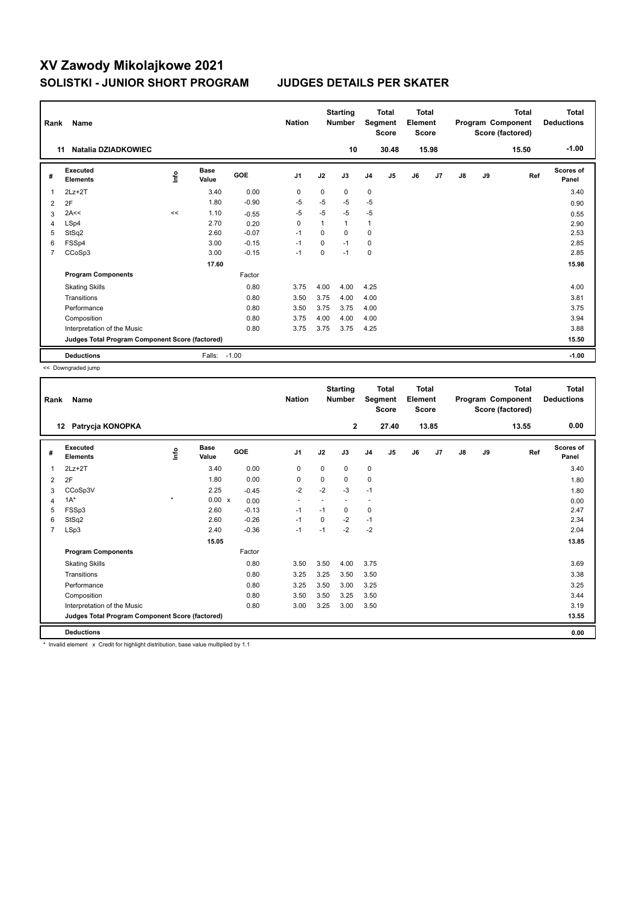| Rank | Name                                            |      |                      |         | <b>Nation</b>  |             | <b>Starting</b><br><b>Number</b> |                | <b>Total</b><br>Segment<br><b>Score</b> | <b>Total</b><br>Element<br><b>Score</b> |                |               |    | <b>Total</b><br>Program Component<br>Score (factored) | <b>Total</b><br><b>Deductions</b> |
|------|-------------------------------------------------|------|----------------------|---------|----------------|-------------|----------------------------------|----------------|-----------------------------------------|-----------------------------------------|----------------|---------------|----|-------------------------------------------------------|-----------------------------------|
|      | Natalia DZIADKOWIEC<br>11                       |      |                      |         |                |             | 10                               |                | 30.48                                   |                                         | 15.98          |               |    | 15.50                                                 | $-1.00$                           |
| #    | Executed<br>Elements                            | lnfo | <b>Base</b><br>Value | GOE     | J <sub>1</sub> | J2          | J3                               | J <sub>4</sub> | J <sub>5</sub>                          | J6                                      | J <sub>7</sub> | $\mathsf{J}8$ | J9 | Ref                                                   | Scores of<br>Panel                |
| 1    | $2Lz+2T$                                        |      | 3.40                 | 0.00    | 0              | $\Omega$    | 0                                | $\mathbf 0$    |                                         |                                         |                |               |    |                                                       | 3.40                              |
| 2    | 2F                                              |      | 1.80                 | $-0.90$ | $-5$           | $-5$        | $-5$                             | $-5$           |                                         |                                         |                |               |    |                                                       | 0.90                              |
| 3    | 2A<<                                            | <<   | 1.10                 | $-0.55$ | $-5$           | $-5$        | $-5$                             | $-5$           |                                         |                                         |                |               |    |                                                       | 0.55                              |
| 4    | LSp4                                            |      | 2.70                 | 0.20    | $\Omega$       | 1           | $\mathbf{1}$                     | $\mathbf{1}$   |                                         |                                         |                |               |    |                                                       | 2.90                              |
| 5    | StSq2                                           |      | 2.60                 | $-0.07$ | $-1$           | $\mathbf 0$ | $\Omega$                         | $\mathbf 0$    |                                         |                                         |                |               |    |                                                       | 2.53                              |
| 6    | FSSp4                                           |      | 3.00                 | $-0.15$ | $-1$           | 0           | $-1$                             | 0              |                                         |                                         |                |               |    |                                                       | 2.85                              |
| 7    | CCoSp3                                          |      | 3.00                 | $-0.15$ | $-1$           | 0           | $-1$                             | $\pmb{0}$      |                                         |                                         |                |               |    |                                                       | 2.85                              |
|      |                                                 |      | 17.60                |         |                |             |                                  |                |                                         |                                         |                |               |    |                                                       | 15.98                             |
|      | <b>Program Components</b>                       |      |                      | Factor  |                |             |                                  |                |                                         |                                         |                |               |    |                                                       |                                   |
|      | <b>Skating Skills</b>                           |      |                      | 0.80    | 3.75           | 4.00        | 4.00                             | 4.25           |                                         |                                         |                |               |    |                                                       | 4.00                              |
|      | Transitions                                     |      |                      | 0.80    | 3.50           | 3.75        | 4.00                             | 4.00           |                                         |                                         |                |               |    |                                                       | 3.81                              |
|      | Performance                                     |      |                      | 0.80    | 3.50           | 3.75        | 3.75                             | 4.00           |                                         |                                         |                |               |    |                                                       | 3.75                              |
|      | Composition                                     |      |                      | 0.80    | 3.75           | 4.00        | 4.00                             | 4.00           |                                         |                                         |                |               |    |                                                       | 3.94                              |
|      | Interpretation of the Music                     |      |                      | 0.80    | 3.75           | 3.75        | 3.75                             | 4.25           |                                         |                                         |                |               |    |                                                       | 3.88                              |
|      | Judges Total Program Component Score (factored) |      |                      |         |                |             |                                  |                |                                         |                                         |                |               |    |                                                       | 15.50                             |
|      | <b>Deductions</b>                               |      | Falls: -1.00         |         |                |             |                                  |                |                                         |                                         |                |               |    |                                                       | $-1.00$                           |

<< Downgraded jump

| Rank           | Name                                            |         |                      |         | <b>Nation</b>            |      | <b>Starting</b><br><b>Number</b> |                          | <b>Total</b><br>Segment<br><b>Score</b> | <b>Total</b><br>Element<br><b>Score</b> |       |               |    | <b>Total</b><br>Program Component<br>Score (factored) | <b>Total</b><br><b>Deductions</b> |
|----------------|-------------------------------------------------|---------|----------------------|---------|--------------------------|------|----------------------------------|--------------------------|-----------------------------------------|-----------------------------------------|-------|---------------|----|-------------------------------------------------------|-----------------------------------|
|                | Patrycja KONOPKA<br>12                          |         |                      |         |                          |      | $\overline{2}$                   |                          | 27.40                                   |                                         | 13.85 |               |    | 13.55                                                 | 0.00                              |
| #              | Executed<br><b>Elements</b>                     | lnfo    | <b>Base</b><br>Value | GOE     | J <sub>1</sub>           | J2   | J3                               | J <sub>4</sub>           | J5                                      | J6                                      | J7    | $\mathsf{J}8$ | J9 | Ref                                                   | <b>Scores of</b><br>Panel         |
| 1              | $2Lz+2T$                                        |         | 3.40                 | 0.00    | 0                        | 0    | 0                                | 0                        |                                         |                                         |       |               |    |                                                       | 3.40                              |
| 2              | 2F                                              |         | 1.80                 | 0.00    | 0                        | 0    | 0                                | $\pmb{0}$                |                                         |                                         |       |               |    |                                                       | 1.80                              |
| 3              | CCoSp3V                                         |         | 2.25                 | $-0.45$ | $-2$                     | $-2$ | $-3$                             | $-1$                     |                                         |                                         |       |               |    |                                                       | 1.80                              |
| 4              | $1A^*$                                          | $\star$ | $0.00 \times$        | 0.00    | $\overline{\phantom{a}}$ |      | $\overline{a}$                   | $\overline{\phantom{a}}$ |                                         |                                         |       |               |    |                                                       | 0.00                              |
| 5              | FSSp3                                           |         | 2.60                 | $-0.13$ | $-1$                     | $-1$ | 0                                | 0                        |                                         |                                         |       |               |    |                                                       | 2.47                              |
| 6              | StSq2                                           |         | 2.60                 | $-0.26$ | $-1$                     | 0    | $-2$                             | $-1$                     |                                         |                                         |       |               |    |                                                       | 2.34                              |
| $\overline{7}$ | LSp3                                            |         | 2.40                 | $-0.36$ | $-1$                     | $-1$ | $-2$                             | $-2$                     |                                         |                                         |       |               |    |                                                       | 2.04                              |
|                |                                                 |         | 15.05                |         |                          |      |                                  |                          |                                         |                                         |       |               |    |                                                       | 13.85                             |
|                | <b>Program Components</b>                       |         |                      | Factor  |                          |      |                                  |                          |                                         |                                         |       |               |    |                                                       |                                   |
|                | <b>Skating Skills</b>                           |         |                      | 0.80    | 3.50                     | 3.50 | 4.00                             | 3.75                     |                                         |                                         |       |               |    |                                                       | 3.69                              |
|                | Transitions                                     |         |                      | 0.80    | 3.25                     | 3.25 | 3.50                             | 3.50                     |                                         |                                         |       |               |    |                                                       | 3.38                              |
|                | Performance                                     |         |                      | 0.80    | 3.25                     | 3.50 | 3.00                             | 3.25                     |                                         |                                         |       |               |    |                                                       | 3.25                              |
|                | Composition                                     |         |                      | 0.80    | 3.50                     | 3.50 | 3.25                             | 3.50                     |                                         |                                         |       |               |    |                                                       | 3.44                              |
|                | Interpretation of the Music                     |         |                      | 0.80    | 3.00                     | 3.25 | 3.00                             | 3.50                     |                                         |                                         |       |               |    |                                                       | 3.19                              |
|                | Judges Total Program Component Score (factored) |         |                      |         |                          |      |                                  |                          |                                         |                                         |       |               |    |                                                       | 13.55                             |
|                | <b>Deductions</b>                               |         |                      |         |                          |      |                                  |                          |                                         |                                         |       |               |    |                                                       | 0.00                              |
|                | .                                               |         | $\sim$               | .       |                          |      |                                  |                          |                                         |                                         |       |               |    |                                                       |                                   |

\* Invalid element x Credit for highlight distribution, base value multiplied by 1.1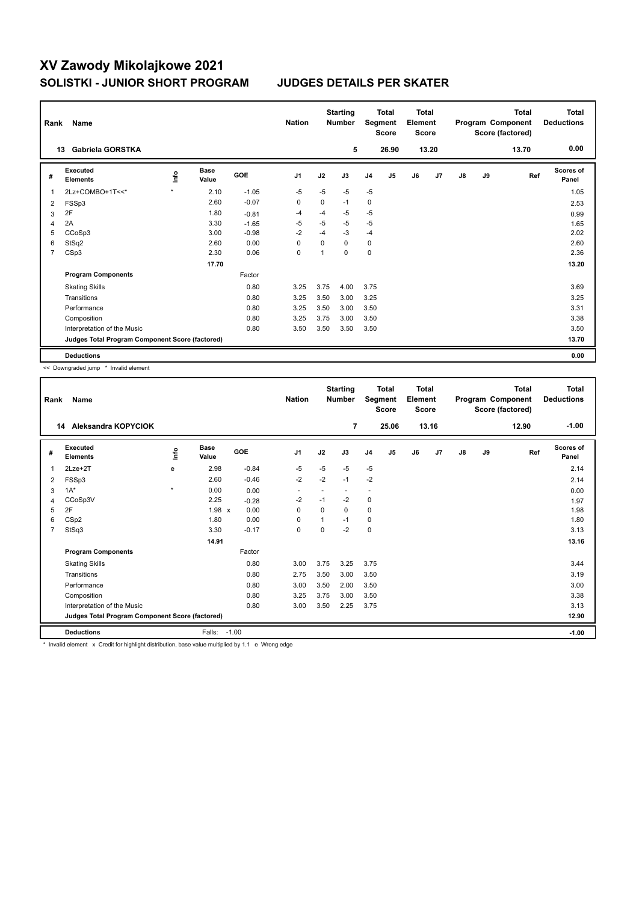| Rank           | Name                                            |         |                      |         | <b>Nation</b>  |             | <b>Starting</b><br><b>Number</b> |                | <b>Total</b><br>Segment<br><b>Score</b> | <b>Total</b><br>Element<br><b>Score</b> |       | <b>Total</b><br>Program Component<br>Score (factored) |    |       | Total<br><b>Deductions</b> |
|----------------|-------------------------------------------------|---------|----------------------|---------|----------------|-------------|----------------------------------|----------------|-----------------------------------------|-----------------------------------------|-------|-------------------------------------------------------|----|-------|----------------------------|
|                | Gabriela GORSTKA<br>13                          |         |                      |         |                |             | 5                                |                | 26.90                                   |                                         | 13.20 |                                                       |    | 13.70 | 0.00                       |
| #              | Executed<br><b>Elements</b>                     | lnfo    | <b>Base</b><br>Value | GOE     | J <sub>1</sub> | J2          | J3                               | J <sub>4</sub> | J5                                      | J6                                      | J7    | $\mathsf{J}8$                                         | J9 | Ref   | Scores of<br>Panel         |
| 1              | 2Lz+COMBO+1T<<*                                 | $\star$ | 2.10                 | $-1.05$ | $-5$           | $-5$        | $-5$                             | $-5$           |                                         |                                         |       |                                                       |    |       | 1.05                       |
| 2              | FSSp3                                           |         | 2.60                 | $-0.07$ | 0              | $\mathbf 0$ | $-1$                             | $\mathbf 0$    |                                         |                                         |       |                                                       |    |       | 2.53                       |
| 3              | 2F                                              |         | 1.80                 | $-0.81$ | -4             | $-4$        | -5                               | $-5$           |                                         |                                         |       |                                                       |    |       | 0.99                       |
| 4              | 2A                                              |         | 3.30                 | $-1.65$ | $-5$           | $-5$        | $-5$                             | $-5$           |                                         |                                         |       |                                                       |    |       | 1.65                       |
| 5              | CCoSp3                                          |         | 3.00                 | $-0.98$ | $-2$           | $-4$        | $-3$                             | $-4$           |                                         |                                         |       |                                                       |    |       | 2.02                       |
| 6              | StSq2                                           |         | 2.60                 | 0.00    | 0              | $\Omega$    | $\Omega$                         | 0              |                                         |                                         |       |                                                       |    |       | 2.60                       |
| $\overline{7}$ | CSp3                                            |         | 2.30                 | 0.06    | 0              |             | 0                                | $\pmb{0}$      |                                         |                                         |       |                                                       |    |       | 2.36                       |
|                |                                                 |         | 17.70                |         |                |             |                                  |                |                                         |                                         |       |                                                       |    |       | 13.20                      |
|                | <b>Program Components</b>                       |         |                      | Factor  |                |             |                                  |                |                                         |                                         |       |                                                       |    |       |                            |
|                | <b>Skating Skills</b>                           |         |                      | 0.80    | 3.25           | 3.75        | 4.00                             | 3.75           |                                         |                                         |       |                                                       |    |       | 3.69                       |
|                | Transitions                                     |         |                      | 0.80    | 3.25           | 3.50        | 3.00                             | 3.25           |                                         |                                         |       |                                                       |    |       | 3.25                       |
|                | Performance                                     |         |                      | 0.80    | 3.25           | 3.50        | 3.00                             | 3.50           |                                         |                                         |       |                                                       |    |       | 3.31                       |
|                | Composition                                     |         |                      | 0.80    | 3.25           | 3.75        | 3.00                             | 3.50           |                                         |                                         |       |                                                       |    |       | 3.38                       |
|                | Interpretation of the Music                     |         |                      | 0.80    | 3.50           | 3.50        | 3.50                             | 3.50           |                                         |                                         |       |                                                       |    |       | 3.50                       |
|                | Judges Total Program Component Score (factored) |         |                      |         |                |             |                                  |                |                                         |                                         |       |                                                       |    |       | 13.70                      |
|                | <b>Deductions</b>                               |         |                      |         |                |             |                                  |                |                                         |                                         |       |                                                       |    |       | 0.00                       |

<< Downgraded jump \* Invalid element

| Rank                                            | Name                        |         |                      |         | <b>Nation</b>            |             | <b>Starting</b><br><b>Number</b> |                | <b>Total</b><br>Segment<br><b>Score</b> | <b>Total</b><br>Element<br><b>Score</b> |       |               |       | <b>Total</b><br>Program Component<br>Score (factored) | Total<br><b>Deductions</b> |
|-------------------------------------------------|-----------------------------|---------|----------------------|---------|--------------------------|-------------|----------------------------------|----------------|-----------------------------------------|-----------------------------------------|-------|---------------|-------|-------------------------------------------------------|----------------------------|
|                                                 | Aleksandra KOPYCIOK<br>14   |         |                      |         |                          |             | $\overline{7}$                   |                | 25.06                                   |                                         | 13.16 |               |       | 12.90                                                 | $-1.00$                    |
| #                                               | Executed<br><b>Elements</b> | ۴       | <b>Base</b><br>Value | GOE     | J <sub>1</sub>           | J2          | J3                               | J <sub>4</sub> | J5                                      | J6                                      | J7    | $\mathsf{J}8$ | J9    | Ref                                                   | Scores of<br>Panel         |
| 1                                               | $2$ Lze $+2$ T              | e       | 2.98                 | $-0.84$ | $-5$                     | $-5$        | $-5$                             | $-5$           |                                         |                                         |       |               |       |                                                       | 2.14                       |
| 2                                               | FSSp3                       |         | 2.60                 | $-0.46$ | $-2$                     | $-2$        | $-1$                             | $-2$           |                                         |                                         |       |               |       |                                                       | 2.14                       |
| 3                                               | $1A^*$                      | $\star$ | 0.00                 | 0.00    | $\overline{\phantom{a}}$ |             | $\overline{a}$                   |                |                                         |                                         |       |               |       |                                                       | 0.00                       |
| 4                                               | CCoSp3V                     |         | 2.25                 | $-0.28$ | $-2$                     | $-1$        | $-2$                             | 0              |                                         |                                         |       |               |       |                                                       | 1.97                       |
| 5                                               | 2F                          |         | 1.98 x               | 0.00    | $\Omega$                 | $\Omega$    | $\Omega$                         | 0              |                                         |                                         |       |               |       |                                                       | 1.98                       |
| 6                                               | CSp2                        |         | 1.80                 | 0.00    | 0                        | 1           | $-1$                             | 0              |                                         |                                         |       |               |       |                                                       | 1.80                       |
| $\overline{7}$                                  | StSq3                       |         | 3.30                 | $-0.17$ | $\mathbf 0$              | $\mathbf 0$ | $-2$                             | $\mathbf 0$    |                                         |                                         |       |               |       |                                                       | 3.13                       |
|                                                 |                             |         | 14.91                |         |                          |             |                                  |                |                                         |                                         |       |               |       |                                                       | 13.16                      |
|                                                 | <b>Program Components</b>   |         |                      | Factor  |                          |             |                                  |                |                                         |                                         |       |               |       |                                                       |                            |
|                                                 | <b>Skating Skills</b>       |         |                      | 0.80    | 3.00                     | 3.75        | 3.25                             | 3.75           |                                         |                                         |       |               |       |                                                       | 3.44                       |
|                                                 | Transitions                 |         |                      | 0.80    | 2.75                     | 3.50        | 3.00                             | 3.50           |                                         |                                         |       |               |       |                                                       | 3.19                       |
|                                                 | Performance                 |         |                      | 0.80    | 3.00                     | 3.50        | 2.00                             | 3.50           |                                         |                                         |       |               |       |                                                       | 3.00                       |
|                                                 | Composition                 |         |                      | 0.80    | 3.25                     | 3.75        | 3.00                             | 3.50           |                                         |                                         |       |               |       |                                                       | 3.38                       |
|                                                 | Interpretation of the Music |         |                      | 0.80    | 3.00                     | 3.50        | 2.25                             | 3.75           |                                         |                                         |       |               |       |                                                       | 3.13                       |
| Judges Total Program Component Score (factored) |                             |         |                      |         |                          |             |                                  |                |                                         |                                         |       |               | 12.90 |                                                       |                            |
|                                                 | <b>Deductions</b>           |         | Falls:               | $-1.00$ |                          |             |                                  |                |                                         |                                         |       |               |       |                                                       | $-1.00$                    |

\* Invalid element x Credit for highlight distribution, base value multiplied by 1.1 e Wrong edge